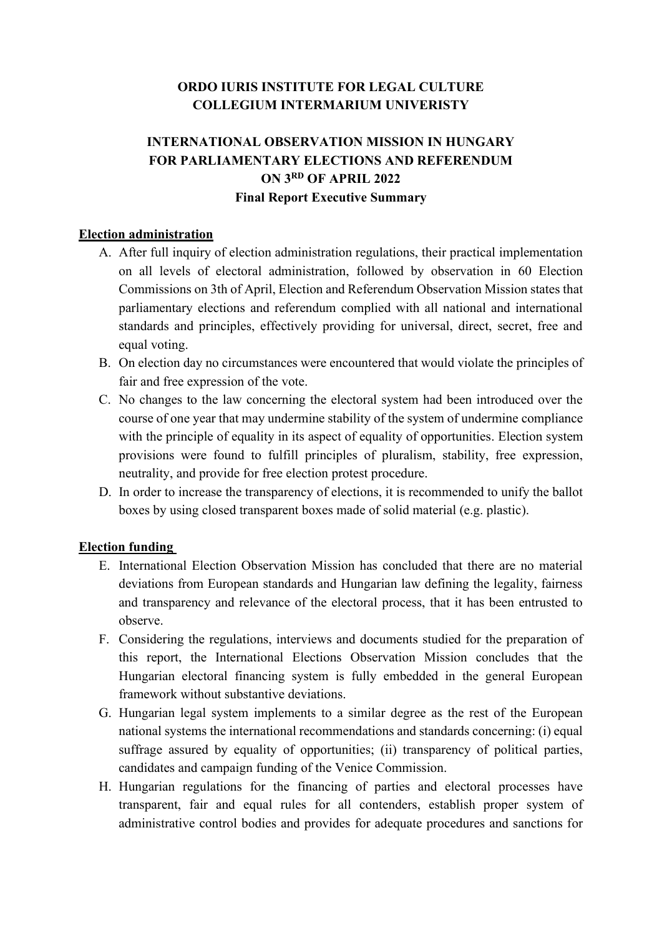# **ORDO IURIS INSTITUTE FOR LEGAL CULTURE COLLEGIUM INTERMARIUM UNIVERISTY**

# **INTERNATIONAL OBSERVATION MISSION IN HUNGARY FOR PARLIAMENTARY ELECTIONS AND REFERENDUM ON 3RD OF APRIL 2022 Final Report Executive Summary**

## **Election administration**

- A. After full inquiry of election administration regulations, their practical implementation on all levels of electoral administration, followed by observation in 60 Election Commissions on 3th of April, Election and Referendum Observation Mission states that parliamentary elections and referendum complied with all national and international standards and principles, effectively providing for universal, direct, secret, free and equal voting.
- B. On election day no circumstances were encountered that would violate the principles of fair and free expression of the vote.
- C. No changes to the law concerning the electoral system had been introduced over the course of one year that may undermine stability of the system of undermine compliance with the principle of equality in its aspect of equality of opportunities. Election system provisions were found to fulfill principles of pluralism, stability, free expression, neutrality, and provide for free election protest procedure.
- D. In order to increase the transparency of elections, it is recommended to unify the ballot boxes by using closed transparent boxes made of solid material (e.g. plastic).

# **Election funding**

- E. International Election Observation Mission has concluded that there are no material deviations from European standards and Hungarian law defining the legality, fairness and transparency and relevance of the electoral process, that it has been entrusted to observe.
- F. Considering the regulations, interviews and documents studied for the preparation of this report, the International Elections Observation Mission concludes that the Hungarian electoral financing system is fully embedded in the general European framework without substantive deviations.
- G. Hungarian legal system implements to a similar degree as the rest of the European national systems the international recommendations and standards concerning: (i) equal suffrage assured by equality of opportunities; (ii) transparency of political parties, candidates and campaign funding of the Venice Commission.
- H. Hungarian regulations for the financing of parties and electoral processes have transparent, fair and equal rules for all contenders, establish proper system of administrative control bodies and provides for adequate procedures and sanctions for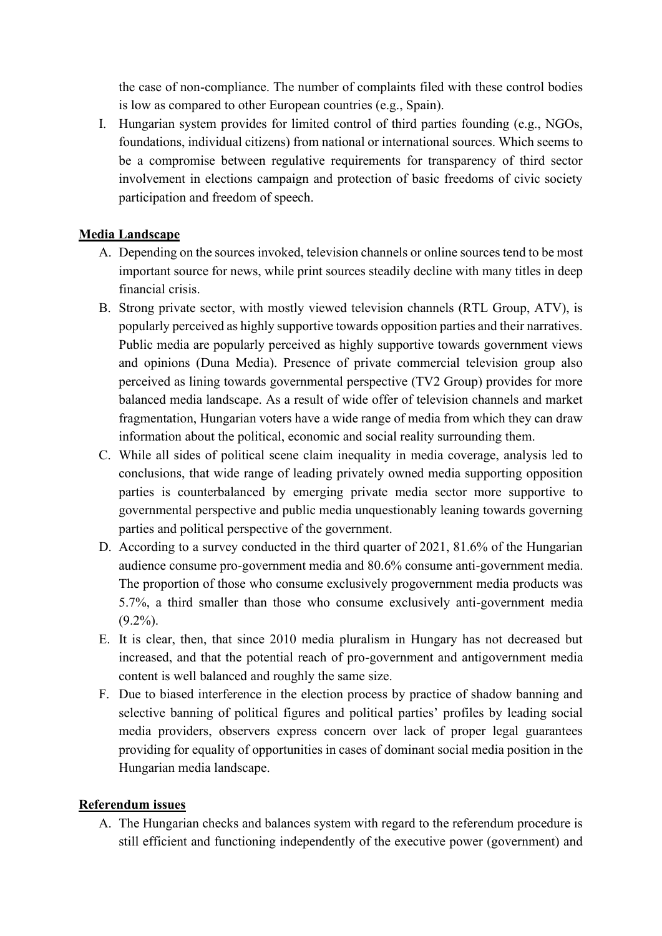the case of non-compliance. The number of complaints filed with these control bodies is low as compared to other European countries (e.g., Spain).

I. Hungarian system provides for limited control of third parties founding (e.g., NGOs, foundations, individual citizens) from national or international sources. Which seems to be a compromise between regulative requirements for transparency of third sector involvement in elections campaign and protection of basic freedoms of civic society participation and freedom of speech.

## **Media Landscape**

- A. Depending on the sources invoked, television channels or online sources tend to be most important source for news, while print sources steadily decline with many titles in deep financial crisis.
- B. Strong private sector, with mostly viewed television channels (RTL Group, ATV), is popularly perceived as highly supportive towards opposition parties and their narratives. Public media are popularly perceived as highly supportive towards government views and opinions (Duna Media). Presence of private commercial television group also perceived as lining towards governmental perspective (TV2 Group) provides for more balanced media landscape. As a result of wide offer of television channels and market fragmentation, Hungarian voters have a wide range of media from which they can draw information about the political, economic and social reality surrounding them.
- C. While all sides of political scene claim inequality in media coverage, analysis led to conclusions, that wide range of leading privately owned media supporting opposition parties is counterbalanced by emerging private media sector more supportive to governmental perspective and public media unquestionably leaning towards governing parties and political perspective of the government.
- D. According to a survey conducted in the third quarter of 2021, 81.6% of the Hungarian audience consume pro-government media and 80.6% consume anti-government media. The proportion of those who consume exclusively progovernment media products was 5.7%, a third smaller than those who consume exclusively anti-government media  $(9.2\%)$ .
- E. It is clear, then, that since 2010 media pluralism in Hungary has not decreased but increased, and that the potential reach of pro-government and antigovernment media content is well balanced and roughly the same size.
- F. Due to biased interference in the election process by practice of shadow banning and selective banning of political figures and political parties' profiles by leading social media providers, observers express concern over lack of proper legal guarantees providing for equality of opportunities in cases of dominant social media position in the Hungarian media landscape.

#### **Referendum issues**

A. The Hungarian checks and balances system with regard to the referendum procedure is still efficient and functioning independently of the executive power (government) and